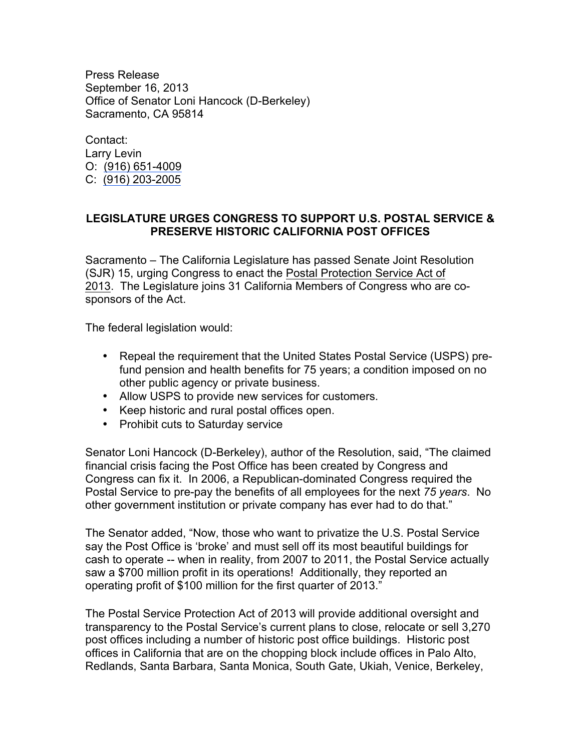Press Release September 16, 2013 Office of Senator Loni Hancock (D-Berkeley) Sacramento, CA 95814

Contact: Larry Levin O: (916) 651-4009 C: (916) 203-2005

## **LEGISLATURE URGES CONGRESS TO SUPPORT U.S. POSTAL SERVICE & PRESERVE HISTORIC CALIFORNIA POST OFFICES**

Sacramento – The California Legislature has passed Senate Joint Resolution (SJR) 15, urging Congress to enact the Postal Protection Service Act of 2013. The Legislature joins 31 California Members of Congress who are cosponsors of the Act.

The federal legislation would:

- Repeal the requirement that the United States Postal Service (USPS) prefund pension and health benefits for 75 years; a condition imposed on no other public agency or private business.
- Allow USPS to provide new services for customers.
- Keep historic and rural postal offices open.
- Prohibit cuts to Saturday service

Senator Loni Hancock (D-Berkeley), author of the Resolution, said, "The claimed financial crisis facing the Post Office has been created by Congress and Congress can fix it. In 2006, a Republican-dominated Congress required the Postal Service to pre-pay the benefits of all employees for the next *75 years*. No other government institution or private company has ever had to do that."

The Senator added, "Now, those who want to privatize the U.S. Postal Service say the Post Office is 'broke' and must sell off its most beautiful buildings for cash to operate -- when in reality, from 2007 to 2011, the Postal Service actually saw a \$700 million profit in its operations! Additionally, they reported an operating profit of \$100 million for the first quarter of 2013."

The Postal Service Protection Act of 2013 will provide additional oversight and transparency to the Postal Service's current plans to close, relocate or sell 3,270 post offices including a number of historic post office buildings. Historic post offices in California that are on the chopping block include offices in Palo Alto, Redlands, Santa Barbara, Santa Monica, South Gate, Ukiah, Venice, Berkeley,